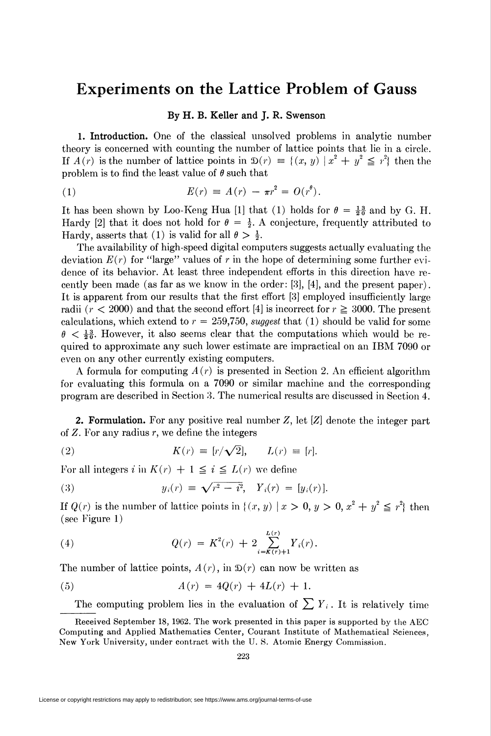## Experiments on the Lattice Problem of Gauss

## By H. B. Keller and J. R. Swenson

1. Introduction. One of the classical unsolved problems in analytic number theory is concerned with counting the number of lattice points that lie in a circle. If  $A(r)$  is the number of lattice points in  $\mathfrak{D}(r) \equiv \{(x, y) \mid x^2 + y^2 \leq r^2\}$  then the problem is to find the least value of  $\theta$  such that

(1) 
$$
E(r) = A(r) - \pi r^2 = O(r^{\theta}).
$$

It has been shown by Loo-Keng Hua [1] that (1) holds for  $\theta = \frac{13}{20}$  and by G. H. Hardy [2] that it does not hold for  $\theta = \frac{1}{2}$ . A conjecture, frequently attributed to Hardy, asserts that (1) is valid for all  $\theta > \frac{1}{2}$ .

The availability of high-speed digital computers suggests actually evaluating the deviation  $E(r)$  for "large" values of r in the hope of determining some further evidence of its behavior. At least three independent efforts in this direction have recently been made (as far as we know in the order: [3], [4], and the present paper). It is apparent from our results that the first effort [3] employed insufficiently large radii ( $r < 2000$ ) and that the second effort [4] is incorrect for  $r \ge 3000$ . The present calculations, which extend to  $r = 259,750$ , suggest that (1) should be valid for some  $\theta < \frac{13}{20}$ . However, it also seems clear that the computations which would be required to approximate any such lower estimate are impractical on an IBM 7090 or even on any other currently existing computers.

A formula for computing  $A(r)$  is presented in Section 2. An efficient algorithm for evaluating this formula on a 7090 or similar machine and the corresponding program are described in Section 3. The numerical results are discussed in Section 4.

2. Formulation. For any positive real number Z, let [Z] denote the integer part of  $Z$ . For any radius  $r$ , we define the integers

(2) 
$$
K(r) \equiv [r/\sqrt{2}], \qquad L(r) \equiv [r].
$$

For all integers i in  $K(r) + 1 \leq i \leq L(r)$  we define

(3) 
$$
y_i(r) \equiv \sqrt{r^2 - i^2}, \quad Y_i(r) = [y_i(r)]
$$

If  $Q(r)$  is the number of lattice points in  $\{(x, y) \mid x > 0, y > 0, x^2 + y^2 \leq r^2\}$  then (see Figure 1)

(4) 
$$
Q(r) = K^{2}(r) + 2 \sum_{i=K(r)+1}^{L(r)} Y_{i}(r).
$$

The number of lattice points,  $A(r)$ , in  $\mathfrak{D}(r)$  can now be written as

(5) 
$$
A(r) = 4Q(r) + 4L(r) + 1.
$$

The computing problem lies in the evaluation of  $\sum Y_i$ . It is relatively time

Received September 18, 1962. The work presented in this paper is supported by the AEC Computing and Applied Mathematics Center, Courant Institute of Mathematical Sciences, New York University, under contract with the U. S. Atomic Energy Commission.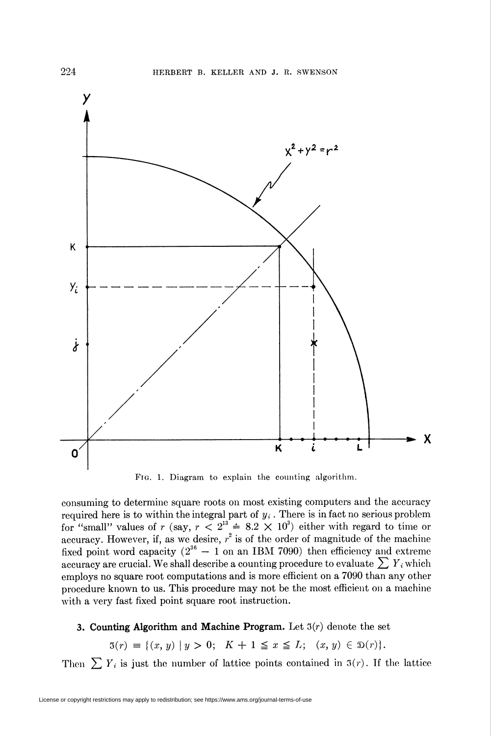

Fig. 1. Diagram to explain the counting algorithm.

consuming to determine square roots on most existing computers and the accuracy required here is to within the integral part of  $y_i$ . There is in fact no serious problem for "small" values of r (say,  $r < 2<sup>3</sup> = 8.2 \times 10<sup>3</sup>$ ) either with regard to time or accuracy. However, if, as we desire,  $r^2$  is of the order of magnitude of the machin fixed point word capacity  $(2^{36} - 1)$  on an IBM 7090) then efficiency and extreme accuracy are crucial. We shall describe a counting procedure to evaluate  $\sum Y_i$  which employs no square root computations and is more efficient on a 7090 than any other procedure known to us. This procedure may not be the most efficient on a machine with a very fast fixed point square root instruction.

## 3. Counting Algorithm and Machine Program. Let  $3(r)$  denote the set

 $3(r) \equiv \{(x, y) | y > 0; K + 1 \le x \le L; (x, y) \in \mathfrak{D}(r)\}.$ 

Then  $\sum Y_i$  is just the number of lattice points contained in  $3(r)$ . If the lattice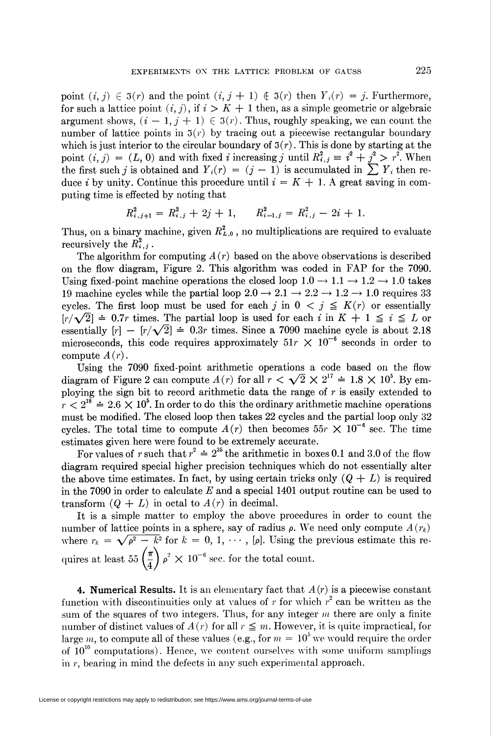point  $(i, j) \in \mathfrak{I}(r)$  and the point  $(i, j + 1) \notin \mathfrak{I}(r)$  then  $Y_i(r) = j$ . Furthermore, for such a lattice point  $(i, j)$ , if  $i > K + 1$  then, as a simple geometric or algebraic argument shows,  $(i - 1, j + 1) \in \mathfrak{I}(r)$ . Thus, roughly speaking, we can count the number of lattice points in  $3(r)$  by tracing out a piecewise rectangular boundary which is just interior to the circular boundary of  $\mathfrak{I}(r)$ . This is done by starting at the point  $(i, j) = (L, 0)$  and with fixed i increasing j until  $R_{i,j}^2 \equiv i^2 + j^2 > r^2$ . When the first such j is obtained and  $Y_i(r) = (j - 1)$  is accumulated in  $\sum Y_i$  then reduce i by unity. Continue this procedure until  $i = K + 1$ . A great saving in computing time is effected by noting that

$$
R_{i,j+1}^2 = R_{i,j}^2 + 2j + 1, \qquad R_{i-1,j}^2 = R_{i,j}^2 - 2i + 1.
$$

Thus, on a binary machine, given  $R_{L,0}^2$ , no multiplications are required to evaluate recursively the  $R_{i,j}^2$ .

The algorithm for computing  $A(r)$  based on the above observations is described on the flow diagram, Figure 2. This algorithm was coded in FAP for the 7090. Using fixed-point machine operations the closed loop  $1.0 \rightarrow 1.1 \rightarrow 1.2 \rightarrow 1.0$  takes 19 machine cycles while the partial loop  $2.0 \rightarrow 2.1 \rightarrow 2.2 \rightarrow 1.2 \rightarrow 1.0$  requires 33 cycles. The first loop must be used for each j in  $0 \lt j \leq K(r)$  or essentially  $[r/\sqrt{2}] \doteq 0.7r$  times. The partial loop is used for each i in  $K+1 \leq i \leq L$  or essentially  $[r] - [r/\sqrt{2}] = 0.3r$  times. Since a 7090 machine cycle is about 2.18 microseconds, this code requires approximately  $51r \times 10^{-6}$  seconds in order to compute  $A(r)$ .

Using the 7090 fixed-point arithmetic operations a code based on the flow diagram of Figure 2 can compute  $A(r)$  for all  $r < \sqrt{2} \times 2^{17} = 1.8 \times 10^5$ . By employing the sign bit to record arithmetic data the range of  $r$  is easily extended to  $r < 2^{18} \doteq 2.6 \times 10^5$ . In order to do this the ordinary arithmetic machine operations must be modified. The closed loop then takes 22 cycles and the partial loop only 32 cycles. The total time to compute  $A(r)$  then becomes 55r  $\times$  10<sup>-6</sup> sec. The time estimates given here were found to be extremely accurate.

For values of r such that  $r^2 \doteq 2^{35}$  the arithmetic in boxes 0.1 and 3.0 of the flow diagram required special higher precision techniques which do not essentially alter the above time estimates. In fact, by using certain tricks only  $(Q + L)$  is required in the 7090 in order to calculate E and a special 1401 output routine can be used to transform  $(Q + L)$  in octal to  $A(r)$  in decimal.

It is a simple matter to employ the above procedures in order to count the number of lattice points in a sphere, say of radius  $\rho$ . We need only compute  $A(r_k)$ where  $r_k = \sqrt{\rho^2 - k^2}$  for  $k = 0, 1, \cdots$ , [p]. Using the previous estimate this requires at least  $55\left(\frac{\pi}{4}\right)\rho^2 \times 10^{-6}$  sec. for the total count.

4. Numerical Results. It is an elementary fact that  $A(r)$  is a piecewise constant function with discontinuities only at values of r for which  $r^2$  can be written as the sum of the squares of two integers. Thus, for any integer  $m$  there are only a finite number of distinct values of  $A(r)$  for all  $r \leq m$ . However, it is quite impractical, for large m, to compute all of these values (e.g., for  $m = 10^5$  we would require the order of  $10^{10}$  computations). Hence, we content ourselves with some uniform samplings in r, bearing in mind the defects in any such experimental approach.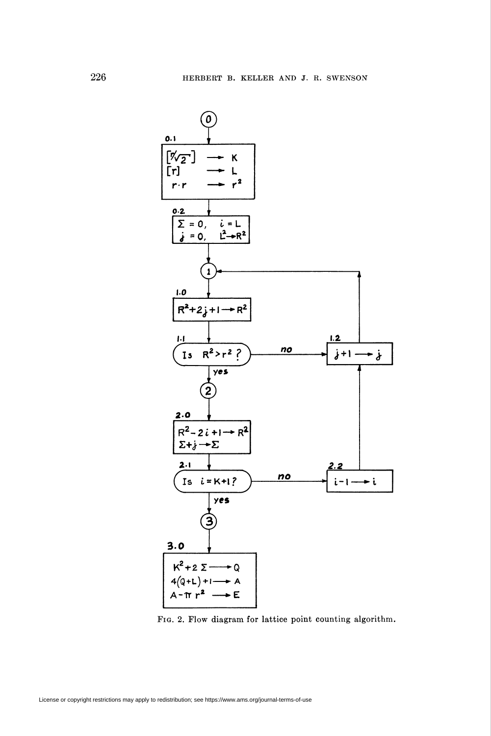

Fig. 2. Flow diagram for lattice point counting algorithm.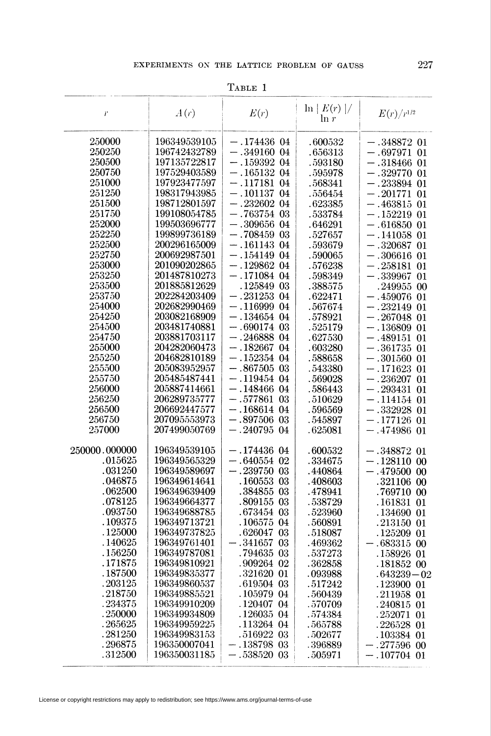| r             | A(r)         | E(r)            | $\ln  E(r) /$<br>$\ln r$ | $E(r)/r^{1/2}$     |
|---------------|--------------|-----------------|--------------------------|--------------------|
| 250000        | 196349539105 | $-.174436$ 04   | .600532                  | $-.348872$ $01$    |
| 250250        | 196742432789 | $-.349160$ 04   | .656313                  | $-.697971$ $01$    |
| 250500        | 197135722817 | $-.159392$ $04$ | . 593180                 | $-.318466$ 01      |
| 250750        | 197529403589 | $-.165132$ 04   |                          |                    |
| 251000        |              |                 | .595978                  | $-.329770$ 01      |
|               | 197923477597 | $-.117181$ 04   | .568341                  | $-.233894$ 01      |
| 251250        | 198317943985 | $-.10113704$    | . 556454                 | $-.201771$ 01      |
| 251500        | 198712801597 | $-.232602$ 04   | .623385                  | $-.463815$ 01      |
| 251750        | 199108054785 | $-.763754$ 03   | .533784                  | $-.152219$ 01      |
| 252000        | 199503696777 | $-.309656$ 04   | .646291                  | $-.616850$ $01$    |
| 252250        | 199899736189 | $-.708459$ 03   | .527657                  | $-.141058$ $01$    |
| 252500        | 200296165009 | $-.161143$ 04   | .593679                  | $-.320687$ 01      |
| 252750        | 200692987501 | $-.154149$ 04   | . 590065                 | $-.306616$ 01      |
| 253000        | 201090202865 | $-.129862$ 04   | . 576238                 | $-.258181$ 01      |
| 253250        | 201487810273 | $-.171084$ 04   | .598349                  | $-.339967$ 01      |
| 253500        | 201885812629 | .125849 03      | .388575                  | .249955 00         |
| 253750        | 202284203409 | $-.231253$ $04$ | .622471                  | $-.459076$ 01      |
| 254000        | 202682990469 | $-.11699904$    | .567674                  | $-.232149$ 01      |
| 254250        | 203082168909 | $-.134654$ 04   | .578921                  | $-.267048$ 01      |
| 254500        | 203481740881 | $-.690174$ 03   | .525179                  | $-.136809$ 01      |
| 254750        | 203881703117 | $-.246888$ 04   | .627530                  | $-.489151$ 01      |
| 255000        | 204282060473 | $-.182667$ 04   | .603280                  | $-.361735$ 01      |
| 255250        | 204682810189 | $-.152354$ 04   | .588658                  | $-.301560$ 01      |
| 255500        | 205083952957 | $-.867505$ 03   | .543380                  | $-.171623$ 01      |
| 255750        | 205485487441 | $-.119454$ $04$ | .569028                  | $-.236207$ 01      |
| 256000        | 205887414661 | $-.148466$ $04$ | . 586443                 | $-.293431$ 01      |
| 256250        | 206289735777 | $-.577861$ 03   | .510629                  | $-.114154$ 01      |
| 256500        | 206692447577 | $-.168614$ 04   | .596569                  | $-.332928$ 01      |
| 256750        | 207095553973 | $-.897506$ 03   | .545897                  | $- .177126 \ \ 01$ |
| 257000        | 207499050769 | $-.240795$ 04   | .625081                  | $-.474986$ 01      |
|               |              |                 |                          |                    |
| 250000.000000 | 196349539105 | $-.174436$ 04   | .600532                  | $-.348872$ 01      |
| .015625       | 196349565329 | $-.640554$ 02   | .334675                  | $-.128110$ 00      |
| .031250       | 196349589697 | $-.239750$ 03   | .440864                  | $-.479500$ 00      |
| .046875       | 196349614641 | .160553 03      | . 408603                 | .321106 00         |
| .062500       | 196349639409 | .384855 03      | .478941                  | .769710 00         |
| .078125       | 196349664377 | .809155 03      | .538729                  | .161831 01         |
| .093750       | 196349688785 | .673454 03      | .523960                  | .134690 01         |
| .109375       | 196349713721 | .106575 04      | .560891                  | .213150 01         |
| .125000       | 196349737825 | .626047 03      | .518087                  | .125209 01         |
| .140625       | 196349761401 | $-.341657$ $03$ | .469362                  | .683315 00         |
| .156250       | 196349787081 | .794635 03      | .537273                  | .158926 01         |
| . 171875      | 196349810921 | .909264 02      | .362858                  | $.181852\ 00$      |
| .187500       | 196349835377 | .321620 01      | .093988                  | $.643239 - 02$     |
| .203125       | 196349860537 | .619504 03      | .517242                  | .123900 01         |
| .218750       | 196349885521 | .105979 04      | .560439                  | .211958 01         |
| .234375       | 196349910209 | .120407 04      | .570709                  | .240815 01         |
| .250000       | 196349934809 | .126035 04      | .574384                  | $.252071$ 01       |
| .265625       | 196349959225 | .113264 04      | .565788                  | .226528 01         |
| .281250       | 196349983153 | .516922 03      | .502677                  | .103384 01         |
| .296875       | 196350007041 | $-.138798$ 03   | .396889                  | $-.277596$ 00      |
| .312500       | 196350031185 | $-.538520$ 03   | . 505971                 | $-.107704$ 01      |

TABLE 1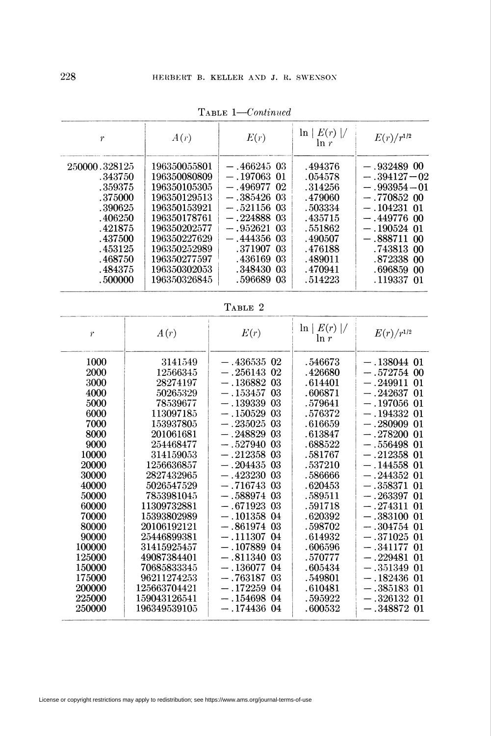| $\boldsymbol{\eta}$ | A(r)         | E(r)          | $E(r)/r^{1/2}$ |                 |  |
|---------------------|--------------|---------------|----------------|-----------------|--|
| 250000.328125       | 196350055801 | $-.466245$ 03 | .494376        | $-.932489$ 00   |  |
| .343750             | 196350080809 | $-.197063$ 01 | .054578        | $-.394127-02$   |  |
| .359375             | 196350105305 | $-.496977$ 02 | .314256        | $-.993954 - 01$ |  |
| .375000             | 196350129513 | $-.385426$ 03 | .479060        | $-.770852$ 00   |  |
| .390625             | 196350153921 | $-.521156$ 03 | .503334        | $-.104231$ 01   |  |
| .406250             | 196350178761 | $-.224888$ 03 | .435715        | $-.449776$ 00   |  |
| .421875             | 196350202577 | $-.952621$ 03 | .551862        | $-.190524$ 01   |  |
| .437500             | 196350227629 | $-.444356$ 03 | .490507        | $-.888711$ 00   |  |
| .453125             | 196350252989 | .371907 03    | .476188        | .743813 00      |  |
| .468750             | 196350277597 | .436169 03    | .489011        | .872338 00      |  |
| .484375             | 196350302053 | .348430 03    | .470941        | .696859 00      |  |
| .500000             | 196350326845 | .596689 03    | .514223        | .119337 01      |  |

TABLE 1-Continued

| RLE. |  |
|------|--|
|------|--|

| $\hat{r}$                                                                                                                  | A(r)                                                                                                                                                                                            | E(r)                                                                                                                                                                                                                                                                              | $\ln  E(r) /$<br>ln r                                                                                                                                               | $E(r)/r^{1/2}$                                                                                                                                                                                                                                                                                             |
|----------------------------------------------------------------------------------------------------------------------------|-------------------------------------------------------------------------------------------------------------------------------------------------------------------------------------------------|-----------------------------------------------------------------------------------------------------------------------------------------------------------------------------------------------------------------------------------------------------------------------------------|---------------------------------------------------------------------------------------------------------------------------------------------------------------------|------------------------------------------------------------------------------------------------------------------------------------------------------------------------------------------------------------------------------------------------------------------------------------------------------------|
| 1000<br>2000<br>3000<br>4000<br>5000<br>6000<br>7000<br>8000<br>9000<br>10000<br>20000<br>30000<br>40000<br>50000<br>60000 | 3141549<br>12566345<br>28274197<br>50265329<br>78539677<br>113097185<br>153937805<br>201061681<br>254468477<br>314159053<br>1256636857<br>2827432965<br>5026547529<br>7853981045<br>11309732881 | $-.436535$ 02<br>$-.256143$ 02<br>$-.136882$ 03<br>$-.153457$<br>03<br>$-.139339$<br>-03<br>03<br>$-.150529$<br>$-.235025$ $03$<br>03<br>$-.248829$<br>$-.527940$<br>03<br>$-.212358$<br>-03<br>$-.204435$ 03<br>$-.423230$ 03<br>$-.716743$ 03<br>$-.588974$ 03<br>$-.671923$ 03 | . 546673<br>.426680<br>.614401<br>.606871<br>. 579641<br>.576372<br>.616659<br>.613847<br>.688522<br>.581767<br>.537210<br>.586666<br>.620453<br>.589511<br>.591718 | $-.138044$ 01<br>$-.572754$<br>00<br>$-.249911$<br>01<br>$-.242637$<br>$_{01}$<br>$-.197056$<br>01<br>$-.194332$<br>01<br>$-.280909$<br>01<br>$-.278200$<br>01<br>$-.556498$<br>01<br>$-.212358$<br>01<br>$-.144558$<br>01<br>$-.244352$<br>01<br>$-.358371$<br>01<br>$-.263397$<br>01<br>$-.274311$<br>01 |
| 70000<br>80000<br>90000<br>100000<br>125000<br>150000<br>175000<br>200000<br>225000<br>250000                              | 15393802989<br>20106192121<br>25446899381<br>31415925457<br>49087384401<br>70685833345<br>96211274253<br>125663704421<br>159043126541<br>196349539105                                           | $-.101358$ 04<br>$-.861974$ 03<br>$-.111307$ 04<br>$-.107889$<br>-04<br>$-.811340$<br>-03<br>$-.136077$<br>04<br>$-.763187$<br>-03<br>$-.172259$<br>-04<br>$-.154698$ 04<br>$-.174436$ 04                                                                                         | .620392<br>.598702<br>.614932<br>.606596<br>.570777<br>. 605434<br>.549801<br>.610481<br>.595922<br>.600532                                                         | $-.383100$<br>01<br>$-.304754$<br>$_{01}$<br>$-.371025$<br>01<br>$-.341177$<br>$_{01}$<br>$-.229481$<br>01<br>$-.351349$<br>01<br>$-.182436$<br>01<br>$-.385183$<br>01<br>$-.326132$<br>01<br>$-.348872$<br>$_{01}$                                                                                        |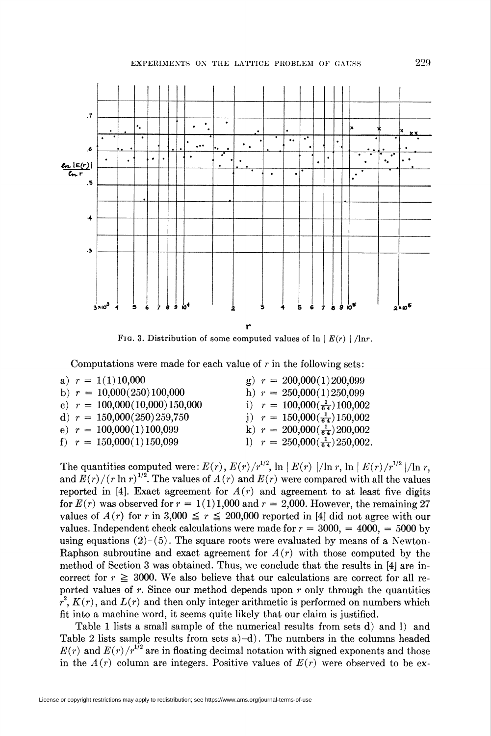

FIG. 3. Distribution of some computed values of  $\ln |E(r)| / \ln r$ .

Computations were made for each value of  $r$  in the following sets:

|  | a) $r = 1(1)10,000$             |  | g) $r = 200,000(1)200,099$              |
|--|---------------------------------|--|-----------------------------------------|
|  | b) $r = 10,000(250)100,000$     |  | h) $r = 250,000(1)250,099$              |
|  | c) $r = 100,000(10,000)150,000$ |  | i) $r = 100,000(\frac{1}{64})100,002$   |
|  | d) $r = 150,000(250)259,750$    |  | j) $r = 150,000(\frac{1}{64})150,002$   |
|  | e) $r = 100,000(1)100,099$      |  | k) $r = 200,000(\frac{1}{64})200,002$   |
|  | f) $r = 150,000(1)150,099$      |  | 1) $r = 250,000(\frac{1}{64})250,002$ . |

The quantities computed were:  $E(r)$ ,  $E(r)/r^{1/2}$ ,  $\ln |E(r)|/\ln r$ ,  $\ln |E(r)/r^{1/2}|/\ln r$ , and  $E(r)/(r \ln r)^{1/2}$ . The values of  $A(r)$  and  $E(r)$  were compared with all the values reported in [4]. Exact agreement for  $A(r)$  and agreement to at least five digits for  $E(r)$  was observed for  $r = 1(1)1,000$  and  $r = 2,000$ . However, the remaining 27 values of  $A(r)$  for r in 3,000  $\leq r \leq 200,000$  reported in [4] did not agree with our values. Independent check calculations were made for  $r = 3000$ ,  $= 4000$ ,  $= 5000$  by using equations  $(2)-(5)$ . The square roots were evaluated by means of a Newton-Raphson subroutine and exact agreement for  $A(r)$  with those computed by the method of Section 3 was obtained. Thus, we conclude that the results in [4J are incorrect for  $r \geq 3000$ . We also believe that our calculations are correct for all reported values of  $r$ . Since our method depends upon  $r$  only through the quantities  $r^2$ ,  $K(r)$ , and  $L(r)$  and then only integer arithmetic is performed on numbers which fit into a machine word, it seems quite likely that our claim is justified.

Table 1 lists a small sample of the numerical results from sets d) and 1) and Table 2 lists sample results from sets  $a$ )-d). The numbers in the columns headed  $E(r)$  and  $E(r)/r^{1/2}$  are in floating decimal notation with signed exponents and those in the  $A(r)$  column are integers. Positive values of  $E(r)$  were observed to be ex